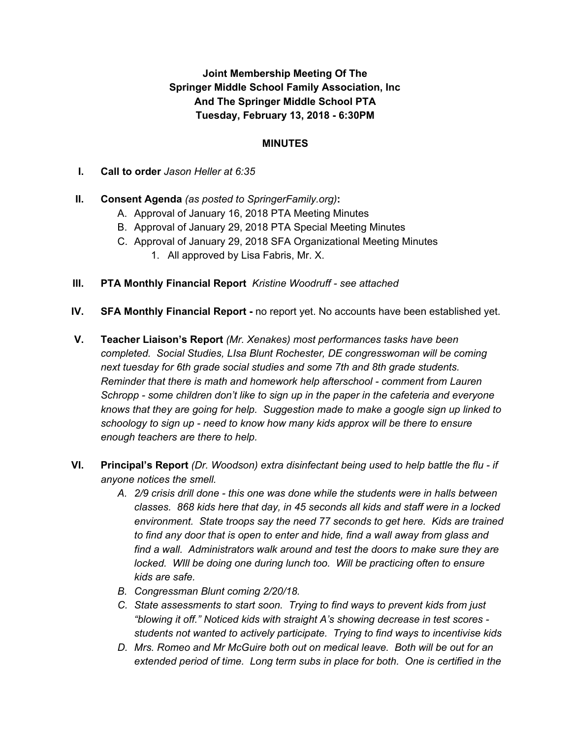## **Joint Membership Meeting Of The Springer Middle School Family Association, Inc And The Springer Middle School PTA Tuesday, February 13, 2018 - 6:30PM**

#### **MINUTES**

**I. Call to order** *Jason Heller at 6:35*

### **II. Consent Agenda** *(as posted to SpringerFamily.org)***:**

- A. Approval of January 16, 2018 PTA Meeting Minutes
- B. Approval of January 29, 2018 PTA Special Meeting Minutes
- C. Approval of January 29, 2018 SFA Organizational Meeting Minutes
	- 1. All approved by Lisa Fabris, Mr. X.
- **III. PTA Monthly Financial Report** *Kristine Woodruff - see attached*
- **IV. SFA Monthly Financial Report -** no report yet. No accounts have been established yet.
- **V. Teacher Liaison's Report** *(Mr. Xenakes) most performances tasks have been completed. Social Studies, LIsa Blunt Rochester, DE congresswoman will be coming next tuesday for 6th grade social studies and some 7th and 8th grade students. Reminder that there is math and homework help afterschool - comment from Lauren Schropp - some children don't like to sign up in the paper in the cafeteria and everyone knows that they are going for help. Suggestion made to make a google sign up linked to schoology to sign up - need to know how many kids approx will be there to ensure enough teachers are there to help.*
- **VI. Principal's Report** *(Dr. Woodson) extra disinfectant being used to help battle the flu - if anyone notices the smell.*
	- *A. 2/9 crisis drill done - this one was done while the students were in halls between classes. 868 kids here that day, in 45 seconds all kids and staff were in a locked environment. State troops say the need 77 seconds to get here. Kids are trained to find any door that is open to enter and hide, find a wall away from glass and find a wall. Administrators walk around and test the doors to make sure they are locked. WIll be doing one during lunch too. Will be practicing often to ensure kids are safe.*
	- *B. Congressman Blunt coming 2/20/18.*
	- *C. State assessments to start soon. Trying to find ways to prevent kids from just "blowing it off." Noticed kids with straight A's showing decrease in test scores students not wanted to actively participate. Trying to find ways to incentivise kids*
	- *D. Mrs. Romeo and Mr McGuire both out on medical leave. Both will be out for an extended period of time. Long term subs in place for both. One is certified in the*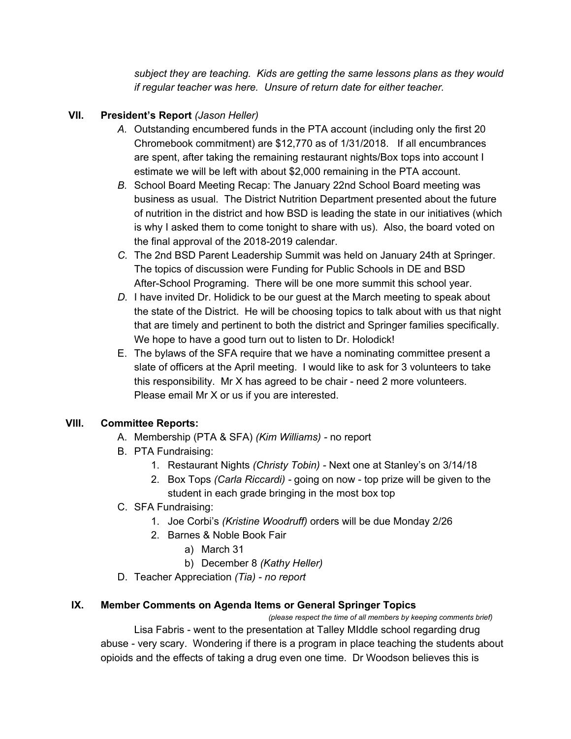*subject they are teaching. Kids are getting the same lessons plans as they would if regular teacher was here. Unsure of return date for either teacher.*

## **VII. President's Report** *(Jason Heller)*

- *A.* Outstanding encumbered funds in the PTA account (including only the first 20 Chromebook commitment) are \$12,770 as of 1/31/2018. If all encumbrances are spent, after taking the remaining restaurant nights/Box tops into account I estimate we will be left with about \$2,000 remaining in the PTA account.
- *B.* School Board Meeting Recap: The January 22nd School Board meeting was business as usual. The District Nutrition Department presented about the future of nutrition in the district and how BSD is leading the state in our initiatives (which is why I asked them to come tonight to share with us). Also, the board voted on the final approval of the 2018-2019 calendar.
- *C.* The 2nd BSD Parent Leadership Summit was held on January 24th at Springer. The topics of discussion were Funding for Public Schools in DE and BSD After-School Programing. There will be one more summit this school year.
- *D.* I have invited Dr. Holidick to be our guest at the March meeting to speak about the state of the District. He will be choosing topics to talk about with us that night that are timely and pertinent to both the district and Springer families specifically. We hope to have a good turn out to listen to Dr. Holodick!
- E. The bylaws of the SFA require that we have a nominating committee present a slate of officers at the April meeting. I would like to ask for 3 volunteers to take this responsibility. Mr X has agreed to be chair - need 2 more volunteers. Please email Mr X or us if you are interested.

### **VIII. Committee Reports:**

- A. Membership (PTA & SFA) *(Kim Williams) -* no report
- B. PTA Fundraising:
	- 1. Restaurant Nights *(Christy Tobin) -* Next one at Stanley's on 3/14/18
	- 2. Box Tops *(Carla Riccardi) -* going on now top prize will be given to the student in each grade bringing in the most box top
- C. SFA Fundraising:
	- 1. Joe Corbi's *(Kristine Woodruff)* orders will be due Monday 2/26
	- 2. Barnes & Noble Book Fair
		- a) March 31
		- b) December 8 *(Kathy Heller)*
- D. Teacher Appreciation *(Tia) - no report*

### **IX. Member Comments on Agenda Items or General Springer Topics**

*(please respect the time of all members by keeping comments brief)*

Lisa Fabris - went to the presentation at Talley MIddle school regarding drug abuse - very scary. Wondering if there is a program in place teaching the students about opioids and the effects of taking a drug even one time. Dr Woodson believes this is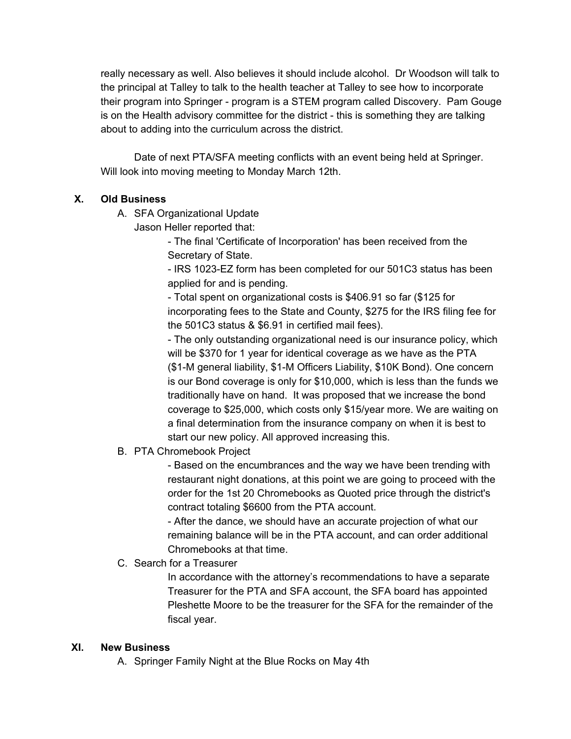really necessary as well. Also believes it should include alcohol. Dr Woodson will talk to the principal at Talley to talk to the health teacher at Talley to see how to incorporate their program into Springer - program is a STEM program called Discovery. Pam Gouge is on the Health advisory committee for the district - this is something they are talking about to adding into the curriculum across the district.

Date of next PTA/SFA meeting conflicts with an event being held at Springer. Will look into moving meeting to Monday March 12th.

# **X. Old Business**

- A. SFA Organizational Update
	- Jason Heller reported that:

- The final 'Certificate of Incorporation' has been received from the Secretary of State.

- IRS 1023-EZ form has been completed for our 501C3 status has been applied for and is pending.

- Total spent on organizational costs is \$406.91 so far (\$125 for incorporating fees to the State and County, \$275 for the IRS filing fee for the 501C3 status & \$6.91 in certified mail fees).

- The only outstanding organizational need is our insurance policy, which will be \$370 for 1 year for identical coverage as we have as the PTA (\$1-M general liability, \$1-M Officers Liability, \$10K Bond). One concern is our Bond coverage is only for \$10,000, which is less than the funds we traditionally have on hand. It was proposed that we increase the bond coverage to \$25,000, which costs only \$15/year more. We are waiting on a final determination from the insurance company on when it is best to start our new policy. All approved increasing this.

B. PTA Chromebook Project

- Based on the encumbrances and the way we have been trending with restaurant night donations, at this point we are going to proceed with the order for the 1st 20 Chromebooks as Quoted price through the district's contract totaling \$6600 from the PTA account.

- After the dance, we should have an accurate projection of what our remaining balance will be in the PTA account, and can order additional Chromebooks at that time.

### C. Search for a Treasurer

In accordance with the attorney's recommendations to have a separate Treasurer for the PTA and SFA account, the SFA board has appointed Pleshette Moore to be the treasurer for the SFA for the remainder of the fiscal year.

### **XI. New Business**

A. Springer Family Night at the Blue Rocks on May 4th